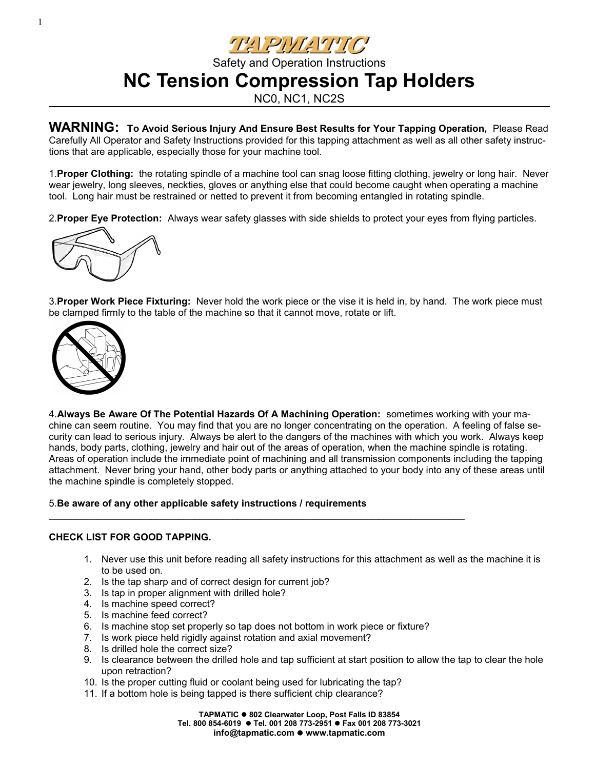<u>THERWANTO</u>

Safety and Operation Instructions **NC Tension Compression Tap Holders**

NC0, NC1, NC2S

**WARNING: To Avoid Serious Injury And Ensure Best Results for Your Tapping Operation,** Please Read Carefully All Operator and Safety Instructions provided for this tapping attachment as well as all other safety instructions that are applicable, especially those for your machine tool.

1.**Proper Clothing:** the rotating spindle of a machine tool can snag loose fitting clothing, jewelry or long hair. Never wear jewelry, long sleeves, neckties, gloves or anything else that could become caught when operating a machine tool. Long hair must be restrained or netted to prevent it from becoming entangled in rotating spindle.

2.**Proper Eye Protection:** Always wear safety glasses with side shields to protect your eyes from flying particles.



3.**Proper Work Piece Fixturing:** Never hold the work piece or the vise it is held in, by hand. The work piece must be clamped firmly to the table of the machine so that it cannot move, rotate or lift.



4.**Always Be Aware Of The Potential Hazards Of A Machining Operation:** sometimes working with your machine can seem routine. You may find that you are no longer concentrating on the operation. A feeling of false security can lead to serious injury. Always be alert to the dangers of the machines with which you work. Always keep hands, body parts, clothing, jewelry and hair out of the areas of operation, when the machine spindle is rotating. Areas of operation include the immediate point of machining and all transmission components including the tapping attachment. Never bring your hand, other body parts or anything attached to your body into any of these areas until the machine spindle is completely stopped.

5.**Be aware of any other applicable safety instructions / requirements**

### **CHECK LIST FOR GOOD TAPPING.**

- 1. Never use this unit before reading all safety instructions for this attachment as well as the machine it is to be used on.
- 2. Is the tap sharp and of correct design for current job?
- 3. Is tap in proper alignment with drilled hole?
- 4. Is machine speed correct?
- 5. Is machine feed correct?
- 6. Is machine stop set properly so tap does not bottom in work piece or fixture?

 $\mathcal{L}_\text{max}$  , and the set of the set of the set of the set of the set of the set of the set of the set of the set of the set of the set of the set of the set of the set of the set of the set of the set of the set of the

- 7. Is work piece held rigidly against rotation and axial movement?
- 8. Is drilled hole the correct size?
- 9. Is clearance between the drilled hole and tap sufficient at start position to allow the tap to clear the hole upon retraction?
- 10. Is the proper cutting fluid or coolant being used for lubricating the tap?
- 11. If a bottom hole is being tapped is there sufficient chip clearance?

**TAPMATIC 802 Clearwater Loop, Post Falls ID 83854 Tel. 800 854-6019 Tel. 001 208 773-2951 Fax 001 208 773-3021 info@tapmatic.com ● www.tapmatic.com**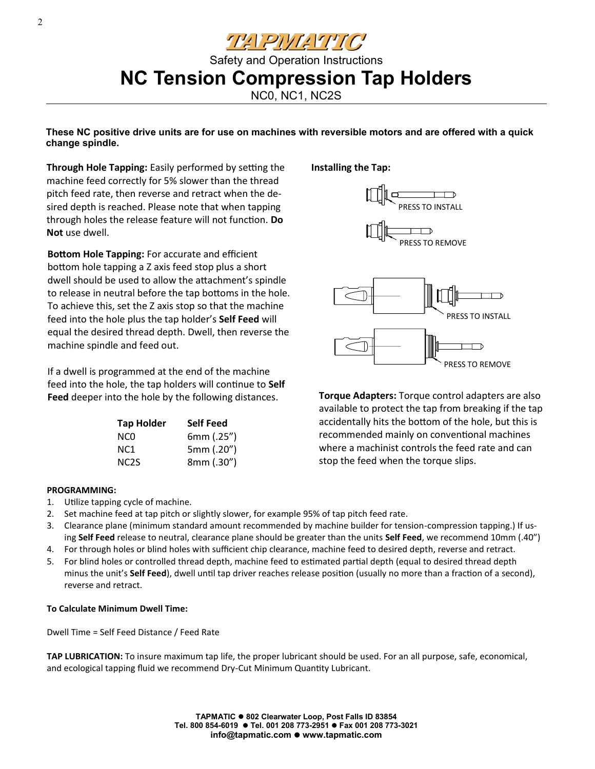<u>THERWEITIC'</u>

### Safety and Operation Instructions **NC Tension Compression Tap Holders**

NC0, NC1, NC2S

**These NC positive drive units are for use on machines with reversible motors and are offered with a quick change spindle.**

**Through Hole Tapping:** Easily performed by setting the machine feed correctly for 5% slower than the thread pitch feed rate, then reverse and retract when the desired depth is reached. Please note that when tapping through holes the release feature will not function. **Do Not** use dwell.

**Bottom Hole Tapping:** For accurate and efficient bottom hole tapping a Z axis feed stop plus a short dwell should be used to allow the attachment's spindle to release in neutral before the tap bottoms in the hole. To achieve this, set the Z axis stop so that the machine feed into the hole plus the tap holder's **Self Feed** will equal the desired thread depth. Dwell, then reverse the machine spindle and feed out.

If a dwell is programmed at the end of the machine feed into the hole, the tap holders will continue to **Self Feed** deeper into the hole by the following distances.

| <b>Tap Holder</b> | <b>Self Feed</b> |
|-------------------|------------------|
| NCO               | 6mm (.25")       |
| NC1               | 5mm (.20")       |
| NC <sub>2</sub> S | 8mm (.30")       |

**Installing the Tap:**



**Torque Adapters:** Torque control adapters are also available to protect the tap from breaking if the tap accidentally hits the bottom of the hole, but this is recommended mainly on conventional machines where a machinist controls the feed rate and can stop the feed when the torque slips.

#### **PROGRAMMING:**

- 1. Utilize tapping cycle of machine.
- 2. Set machine feed at tap pitch or slightly slower, for example 95% of tap pitch feed rate.
- 3. Clearance plane (minimum standard amount recommended by machine builder for tension-compression tapping.) If using **Self Feed** release to neutral, clearance plane should be greater than the units **Self Feed**, we recommend 10mm (.40")
- 4. For through holes or blind holes with sufficient chip clearance, machine feed to desired depth, reverse and retract.
- 5. For blind holes or controlled thread depth, machine feed to estimated partial depth (equal to desired thread depth minus the unit's **Self Feed**), dwell until tap driver reaches release position (usually no more than a fraction of a second), reverse and retract.

#### **To Calculate Minimum Dwell Time:**

Dwell Time = Self Feed Distance / Feed Rate

**TAP LUBRICATION:** To insure maximum tap life, the proper lubricant should be used. For an all purpose, safe, economical, and ecological tapping fluid we recommend Dry-Cut Minimum Quantity Lubricant.

> **TAPMATIC 802 Clearwater Loop, Post Falls ID 83854 Tel. 800 854-6019 Tel. 001 208 773-2951 Fax 001 208 773-3021 info@tapmatic.com www.tapmatic.com**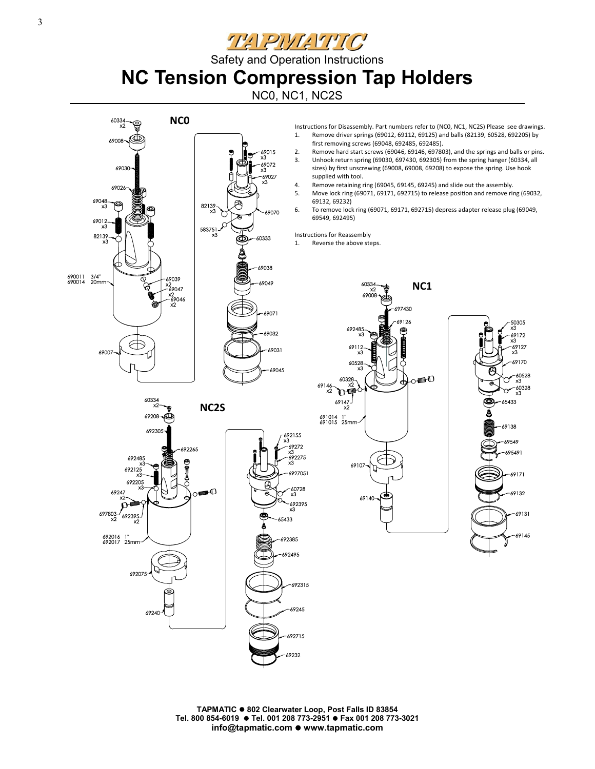<u>THEPIVE TITC</u>

Safety and Operation Instructions

# **NC Tension Compression Tap Holders**

NC0, NC1, NC2S



**TAPMATIC 802 Clearwater Loop, Post Falls ID 83854 Tel. 800 854-6019 Tel. 001 208 773-2951 Fax 001 208 773-3021 info@tapmatic.com www.tapmatic.com**